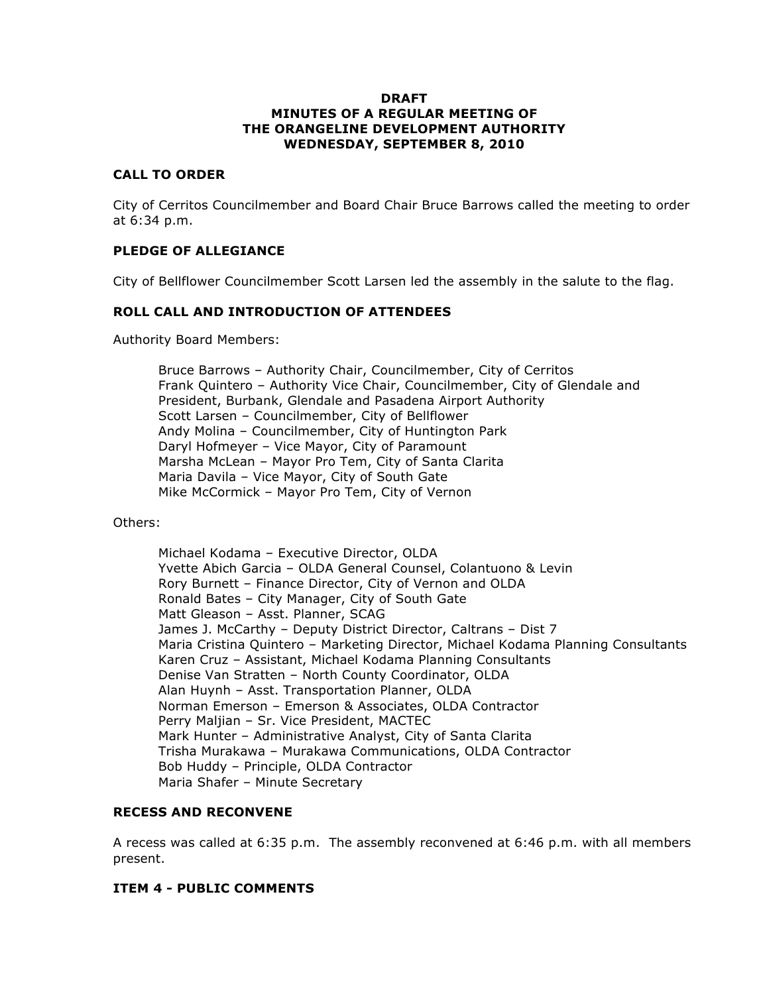#### **DRAFT MINUTES OF A REGULAR MEETING OF THE ORANGELINE DEVELOPMENT AUTHORITY WEDNESDAY, SEPTEMBER 8, 2010**

### **CALL TO ORDER**

City of Cerritos Councilmember and Board Chair Bruce Barrows called the meeting to order at 6:34 p.m.

### **PLEDGE OF ALLEGIANCE**

City of Bellflower Councilmember Scott Larsen led the assembly in the salute to the flag.

### **ROLL CALL AND INTRODUCTION OF ATTENDEES**

Authority Board Members:

Bruce Barrows – Authority Chair, Councilmember, City of Cerritos Frank Quintero – Authority Vice Chair, Councilmember, City of Glendale and President, Burbank, Glendale and Pasadena Airport Authority Scott Larsen – Councilmember, City of Bellflower Andy Molina – Councilmember, City of Huntington Park Daryl Hofmeyer – Vice Mayor, City of Paramount Marsha McLean – Mayor Pro Tem, City of Santa Clarita Maria Davila – Vice Mayor, City of South Gate Mike McCormick – Mayor Pro Tem, City of Vernon

#### Others:

Michael Kodama – Executive Director, OLDA Yvette Abich Garcia – OLDA General Counsel, Colantuono & Levin Rory Burnett – Finance Director, City of Vernon and OLDA Ronald Bates – City Manager, City of South Gate Matt Gleason – Asst. Planner, SCAG James J. McCarthy – Deputy District Director, Caltrans – Dist 7 Maria Cristina Quintero – Marketing Director, Michael Kodama Planning Consultants Karen Cruz – Assistant, Michael Kodama Planning Consultants Denise Van Stratten – North County Coordinator, OLDA Alan Huynh – Asst. Transportation Planner, OLDA Norman Emerson – Emerson & Associates, OLDA Contractor Perry Maljian – Sr. Vice President, MACTEC Mark Hunter – Administrative Analyst, City of Santa Clarita Trisha Murakawa – Murakawa Communications, OLDA Contractor Bob Huddy – Principle, OLDA Contractor Maria Shafer – Minute Secretary

#### **RECESS AND RECONVENE**

A recess was called at 6:35 p.m. The assembly reconvened at 6:46 p.m. with all members present.

#### **ITEM 4 - PUBLIC COMMENTS**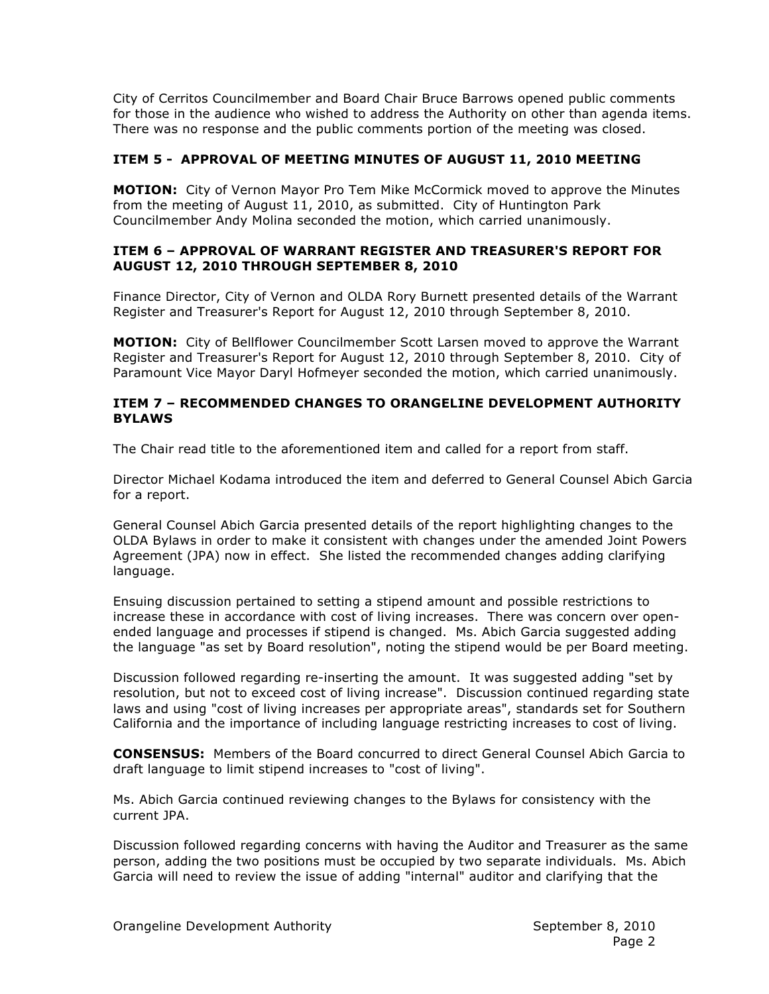City of Cerritos Councilmember and Board Chair Bruce Barrows opened public comments for those in the audience who wished to address the Authority on other than agenda items. There was no response and the public comments portion of the meeting was closed.

# **ITEM 5 - APPROVAL OF MEETING MINUTES OF AUGUST 11, 2010 MEETING**

**MOTION:** City of Vernon Mayor Pro Tem Mike McCormick moved to approve the Minutes from the meeting of August 11, 2010, as submitted. City of Huntington Park Councilmember Andy Molina seconded the motion, which carried unanimously.

### **ITEM 6 – APPROVAL OF WARRANT REGISTER AND TREASURER'S REPORT FOR AUGUST 12, 2010 THROUGH SEPTEMBER 8, 2010**

Finance Director, City of Vernon and OLDA Rory Burnett presented details of the Warrant Register and Treasurer's Report for August 12, 2010 through September 8, 2010.

**MOTION:** City of Bellflower Councilmember Scott Larsen moved to approve the Warrant Register and Treasurer's Report for August 12, 2010 through September 8, 2010. City of Paramount Vice Mayor Daryl Hofmeyer seconded the motion, which carried unanimously.

### **ITEM 7 – RECOMMENDED CHANGES TO ORANGELINE DEVELOPMENT AUTHORITY BYLAWS**

The Chair read title to the aforementioned item and called for a report from staff.

Director Michael Kodama introduced the item and deferred to General Counsel Abich Garcia for a report.

General Counsel Abich Garcia presented details of the report highlighting changes to the OLDA Bylaws in order to make it consistent with changes under the amended Joint Powers Agreement (JPA) now in effect. She listed the recommended changes adding clarifying language.

Ensuing discussion pertained to setting a stipend amount and possible restrictions to increase these in accordance with cost of living increases. There was concern over openended language and processes if stipend is changed. Ms. Abich Garcia suggested adding the language "as set by Board resolution", noting the stipend would be per Board meeting.

Discussion followed regarding re-inserting the amount. It was suggested adding "set by resolution, but not to exceed cost of living increase". Discussion continued regarding state laws and using "cost of living increases per appropriate areas", standards set for Southern California and the importance of including language restricting increases to cost of living.

**CONSENSUS:** Members of the Board concurred to direct General Counsel Abich Garcia to draft language to limit stipend increases to "cost of living".

Ms. Abich Garcia continued reviewing changes to the Bylaws for consistency with the current JPA.

Discussion followed regarding concerns with having the Auditor and Treasurer as the same person, adding the two positions must be occupied by two separate individuals. Ms. Abich Garcia will need to review the issue of adding "internal" auditor and clarifying that the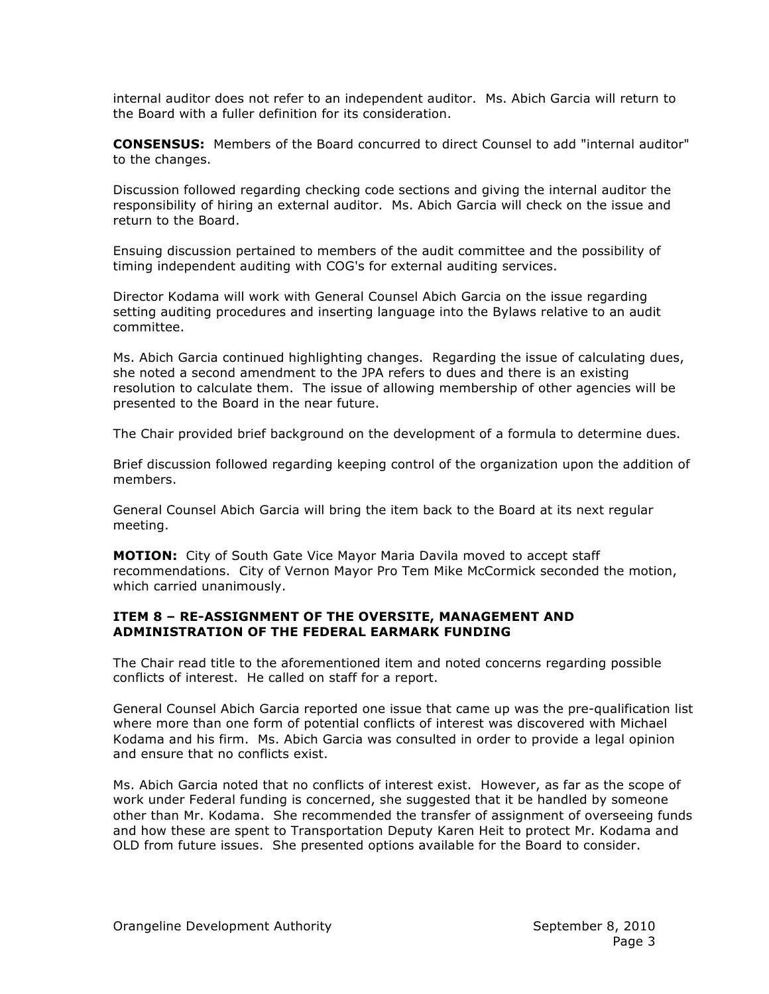internal auditor does not refer to an independent auditor. Ms. Abich Garcia will return to the Board with a fuller definition for its consideration.

**CONSENSUS:** Members of the Board concurred to direct Counsel to add "internal auditor" to the changes.

Discussion followed regarding checking code sections and giving the internal auditor the responsibility of hiring an external auditor. Ms. Abich Garcia will check on the issue and return to the Board.

Ensuing discussion pertained to members of the audit committee and the possibility of timing independent auditing with COG's for external auditing services.

Director Kodama will work with General Counsel Abich Garcia on the issue regarding setting auditing procedures and inserting language into the Bylaws relative to an audit committee.

Ms. Abich Garcia continued highlighting changes. Regarding the issue of calculating dues, she noted a second amendment to the JPA refers to dues and there is an existing resolution to calculate them. The issue of allowing membership of other agencies will be presented to the Board in the near future.

The Chair provided brief background on the development of a formula to determine dues.

Brief discussion followed regarding keeping control of the organization upon the addition of members.

General Counsel Abich Garcia will bring the item back to the Board at its next regular meeting.

**MOTION:** City of South Gate Vice Mayor Maria Davila moved to accept staff recommendations. City of Vernon Mayor Pro Tem Mike McCormick seconded the motion, which carried unanimously.

### **ITEM 8 – RE-ASSIGNMENT OF THE OVERSITE, MANAGEMENT AND ADMINISTRATION OF THE FEDERAL EARMARK FUNDING**

The Chair read title to the aforementioned item and noted concerns regarding possible conflicts of interest. He called on staff for a report.

General Counsel Abich Garcia reported one issue that came up was the pre-qualification list where more than one form of potential conflicts of interest was discovered with Michael Kodama and his firm. Ms. Abich Garcia was consulted in order to provide a legal opinion and ensure that no conflicts exist.

Ms. Abich Garcia noted that no conflicts of interest exist. However, as far as the scope of work under Federal funding is concerned, she suggested that it be handled by someone other than Mr. Kodama. She recommended the transfer of assignment of overseeing funds and how these are spent to Transportation Deputy Karen Heit to protect Mr. Kodama and OLD from future issues. She presented options available for the Board to consider.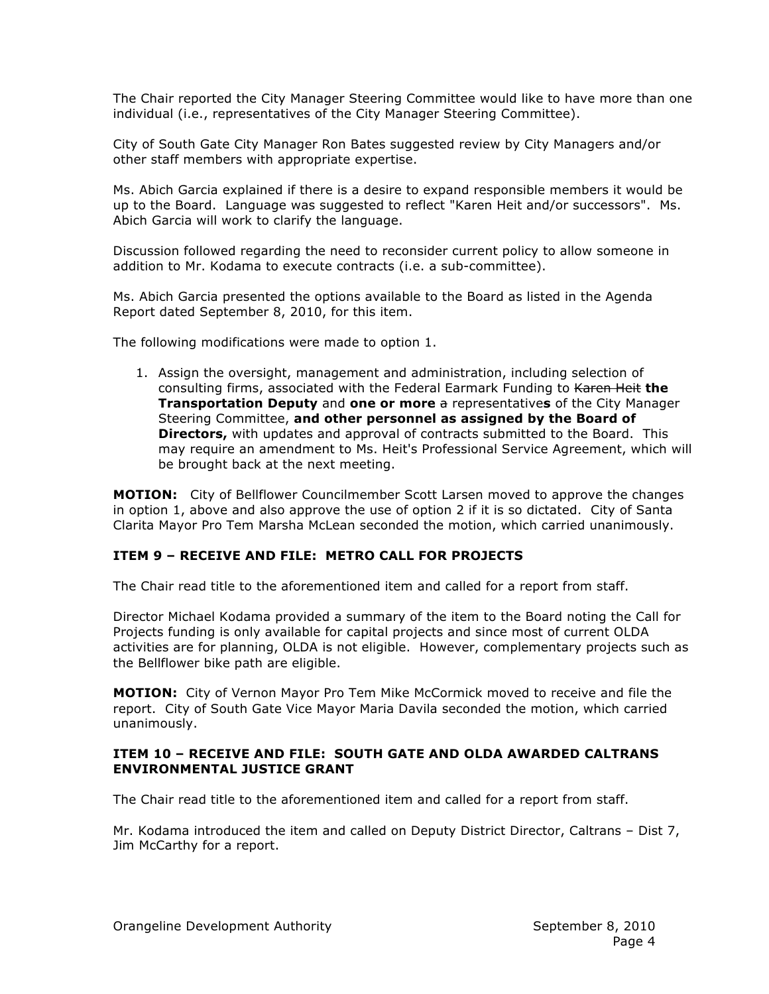The Chair reported the City Manager Steering Committee would like to have more than one individual (i.e., representatives of the City Manager Steering Committee).

City of South Gate City Manager Ron Bates suggested review by City Managers and/or other staff members with appropriate expertise.

Ms. Abich Garcia explained if there is a desire to expand responsible members it would be up to the Board. Language was suggested to reflect "Karen Heit and/or successors". Ms. Abich Garcia will work to clarify the language.

Discussion followed regarding the need to reconsider current policy to allow someone in addition to Mr. Kodama to execute contracts (i.e. a sub-committee).

Ms. Abich Garcia presented the options available to the Board as listed in the Agenda Report dated September 8, 2010, for this item.

The following modifications were made to option 1.

1. Assign the oversight, management and administration, including selection of consulting firms, associated with the Federal Earmark Funding to Karen Heit **the Transportation Deputy** and **one or more** a representative**s** of the City Manager Steering Committee, **and other personnel as assigned by the Board of Directors,** with updates and approval of contracts submitted to the Board. This may require an amendment to Ms. Heit's Professional Service Agreement, which will be brought back at the next meeting.

**MOTION:** City of Bellflower Councilmember Scott Larsen moved to approve the changes in option 1, above and also approve the use of option 2 if it is so dictated. City of Santa Clarita Mayor Pro Tem Marsha McLean seconded the motion, which carried unanimously.

# **ITEM 9 – RECEIVE AND FILE: METRO CALL FOR PROJECTS**

The Chair read title to the aforementioned item and called for a report from staff.

Director Michael Kodama provided a summary of the item to the Board noting the Call for Projects funding is only available for capital projects and since most of current OLDA activities are for planning, OLDA is not eligible. However, complementary projects such as the Bellflower bike path are eligible.

**MOTION:** City of Vernon Mayor Pro Tem Mike McCormick moved to receive and file the report. City of South Gate Vice Mayor Maria Davila seconded the motion, which carried unanimously.

### **ITEM 10 – RECEIVE AND FILE: SOUTH GATE AND OLDA AWARDED CALTRANS ENVIRONMENTAL JUSTICE GRANT**

The Chair read title to the aforementioned item and called for a report from staff.

Mr. Kodama introduced the item and called on Deputy District Director, Caltrans – Dist 7, Jim McCarthy for a report.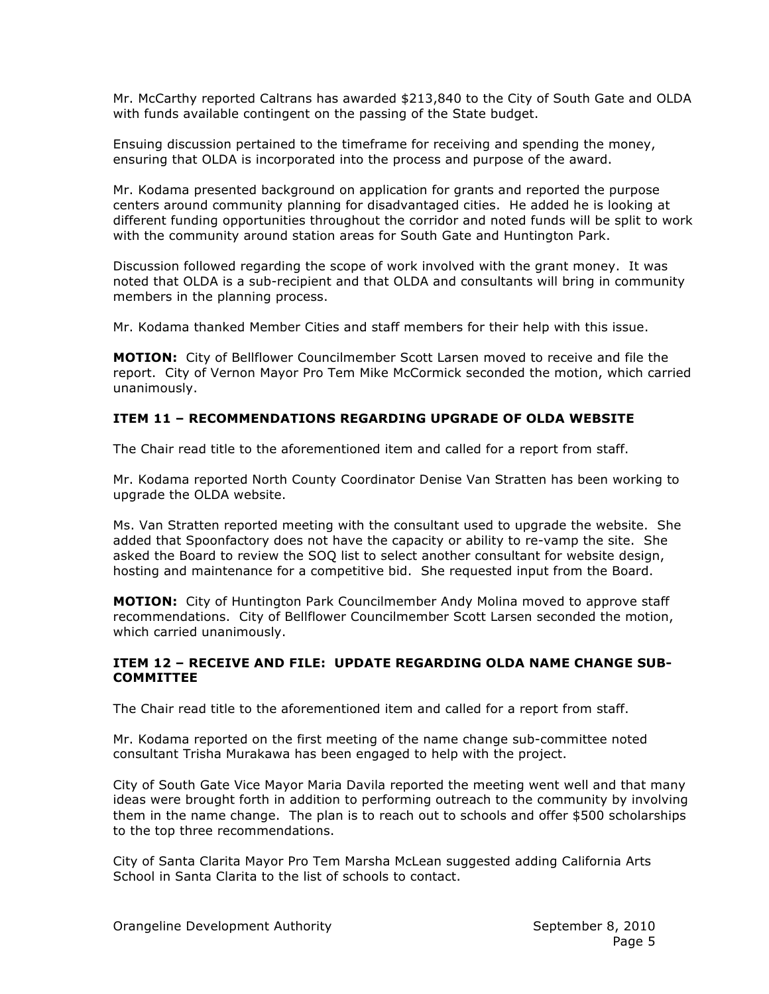Mr. McCarthy reported Caltrans has awarded \$213,840 to the City of South Gate and OLDA with funds available contingent on the passing of the State budget.

Ensuing discussion pertained to the timeframe for receiving and spending the money, ensuring that OLDA is incorporated into the process and purpose of the award.

Mr. Kodama presented background on application for grants and reported the purpose centers around community planning for disadvantaged cities. He added he is looking at different funding opportunities throughout the corridor and noted funds will be split to work with the community around station areas for South Gate and Huntington Park.

Discussion followed regarding the scope of work involved with the grant money. It was noted that OLDA is a sub-recipient and that OLDA and consultants will bring in community members in the planning process.

Mr. Kodama thanked Member Cities and staff members for their help with this issue.

**MOTION:** City of Bellflower Councilmember Scott Larsen moved to receive and file the report. City of Vernon Mayor Pro Tem Mike McCormick seconded the motion, which carried unanimously.

# **ITEM 11 – RECOMMENDATIONS REGARDING UPGRADE OF OLDA WEBSITE**

The Chair read title to the aforementioned item and called for a report from staff.

Mr. Kodama reported North County Coordinator Denise Van Stratten has been working to upgrade the OLDA website.

Ms. Van Stratten reported meeting with the consultant used to upgrade the website. She added that Spoonfactory does not have the capacity or ability to re-vamp the site. She asked the Board to review the SOQ list to select another consultant for website design, hosting and maintenance for a competitive bid. She requested input from the Board.

**MOTION:** City of Huntington Park Councilmember Andy Molina moved to approve staff recommendations. City of Bellflower Councilmember Scott Larsen seconded the motion, which carried unanimously.

#### **ITEM 12 – RECEIVE AND FILE: UPDATE REGARDING OLDA NAME CHANGE SUB-COMMITTEE**

The Chair read title to the aforementioned item and called for a report from staff.

Mr. Kodama reported on the first meeting of the name change sub-committee noted consultant Trisha Murakawa has been engaged to help with the project.

City of South Gate Vice Mayor Maria Davila reported the meeting went well and that many ideas were brought forth in addition to performing outreach to the community by involving them in the name change. The plan is to reach out to schools and offer \$500 scholarships to the top three recommendations.

City of Santa Clarita Mayor Pro Tem Marsha McLean suggested adding California Arts School in Santa Clarita to the list of schools to contact.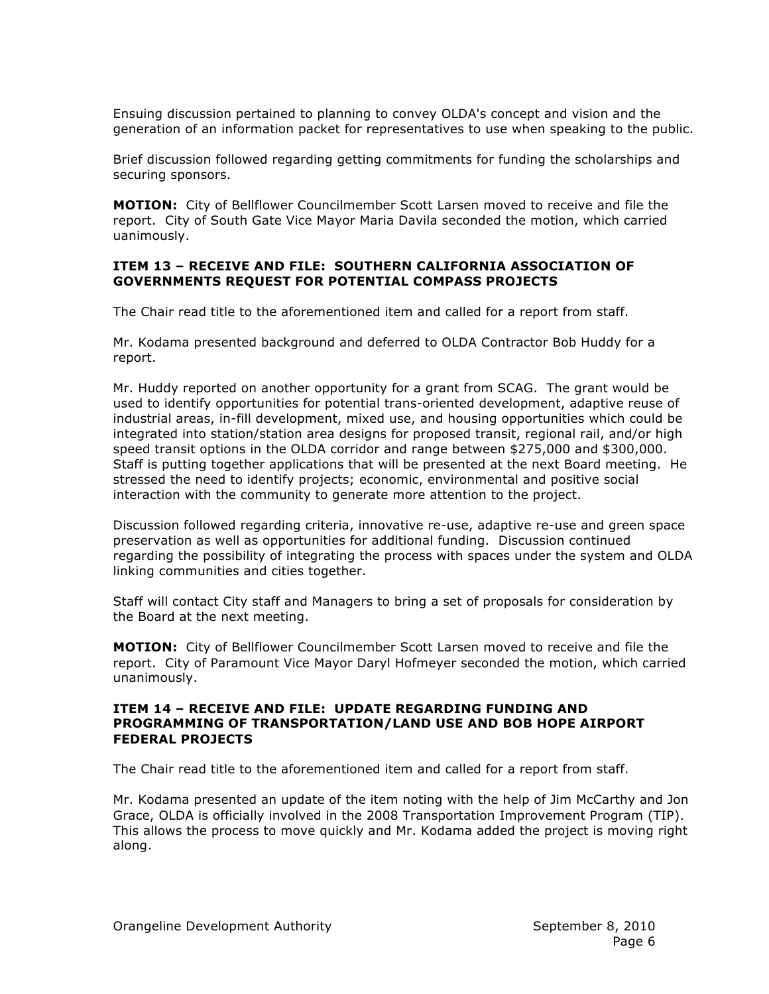Ensuing discussion pertained to planning to convey OLDA's concept and vision and the generation of an information packet for representatives to use when speaking to the public.

Brief discussion followed regarding getting commitments for funding the scholarships and securing sponsors.

**MOTION:** City of Bellflower Councilmember Scott Larsen moved to receive and file the report. City of South Gate Vice Mayor Maria Davila seconded the motion, which carried uanimously.

### **ITEM 13 – RECEIVE AND FILE: SOUTHERN CALIFORNIA ASSOCIATION OF GOVERNMENTS REQUEST FOR POTENTIAL COMPASS PROJECTS**

The Chair read title to the aforementioned item and called for a report from staff.

Mr. Kodama presented background and deferred to OLDA Contractor Bob Huddy for a report.

Mr. Huddy reported on another opportunity for a grant from SCAG. The grant would be used to identify opportunities for potential trans-oriented development, adaptive reuse of industrial areas, in-fill development, mixed use, and housing opportunities which could be integrated into station/station area designs for proposed transit, regional rail, and/or high speed transit options in the OLDA corridor and range between \$275,000 and \$300,000. Staff is putting together applications that will be presented at the next Board meeting. He stressed the need to identify projects; economic, environmental and positive social interaction with the community to generate more attention to the project.

Discussion followed regarding criteria, innovative re-use, adaptive re-use and green space preservation as well as opportunities for additional funding. Discussion continued regarding the possibility of integrating the process with spaces under the system and OLDA linking communities and cities together.

Staff will contact City staff and Managers to bring a set of proposals for consideration by the Board at the next meeting.

**MOTION:** City of Bellflower Councilmember Scott Larsen moved to receive and file the report. City of Paramount Vice Mayor Daryl Hofmeyer seconded the motion, which carried unanimously.

#### **ITEM 14 – RECEIVE AND FILE: UPDATE REGARDING FUNDING AND PROGRAMMING OF TRANSPORTATION/LAND USE AND BOB HOPE AIRPORT FEDERAL PROJECTS**

The Chair read title to the aforementioned item and called for a report from staff.

Mr. Kodama presented an update of the item noting with the help of Jim McCarthy and Jon Grace, OLDA is officially involved in the 2008 Transportation Improvement Program (TIP). This allows the process to move quickly and Mr. Kodama added the project is moving right along.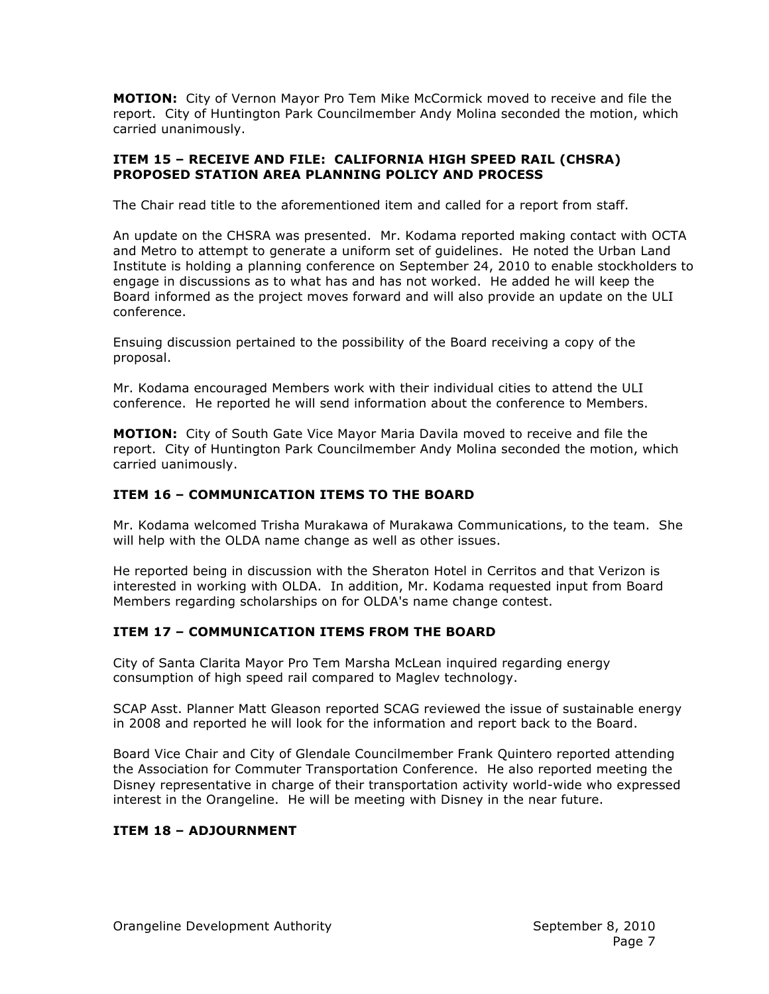**MOTION:** City of Vernon Mayor Pro Tem Mike McCormick moved to receive and file the report. City of Huntington Park Councilmember Andy Molina seconded the motion, which carried unanimously.

### **ITEM 15 – RECEIVE AND FILE: CALIFORNIA HIGH SPEED RAIL (CHSRA) PROPOSED STATION AREA PLANNING POLICY AND PROCESS**

The Chair read title to the aforementioned item and called for a report from staff.

An update on the CHSRA was presented. Mr. Kodama reported making contact with OCTA and Metro to attempt to generate a uniform set of guidelines. He noted the Urban Land Institute is holding a planning conference on September 24, 2010 to enable stockholders to engage in discussions as to what has and has not worked. He added he will keep the Board informed as the project moves forward and will also provide an update on the ULI conference.

Ensuing discussion pertained to the possibility of the Board receiving a copy of the proposal.

Mr. Kodama encouraged Members work with their individual cities to attend the ULI conference. He reported he will send information about the conference to Members.

**MOTION:** City of South Gate Vice Mayor Maria Davila moved to receive and file the report. City of Huntington Park Councilmember Andy Molina seconded the motion, which carried uanimously.

# **ITEM 16 – COMMUNICATION ITEMS TO THE BOARD**

Mr. Kodama welcomed Trisha Murakawa of Murakawa Communications, to the team. She will help with the OLDA name change as well as other issues.

He reported being in discussion with the Sheraton Hotel in Cerritos and that Verizon is interested in working with OLDA. In addition, Mr. Kodama requested input from Board Members regarding scholarships on for OLDA's name change contest.

# **ITEM 17 – COMMUNICATION ITEMS FROM THE BOARD**

City of Santa Clarita Mayor Pro Tem Marsha McLean inquired regarding energy consumption of high speed rail compared to Maglev technology.

SCAP Asst. Planner Matt Gleason reported SCAG reviewed the issue of sustainable energy in 2008 and reported he will look for the information and report back to the Board.

Board Vice Chair and City of Glendale Councilmember Frank Quintero reported attending the Association for Commuter Transportation Conference. He also reported meeting the Disney representative in charge of their transportation activity world-wide who expressed interest in the Orangeline. He will be meeting with Disney in the near future.

# **ITEM 18 – ADJOURNMENT**